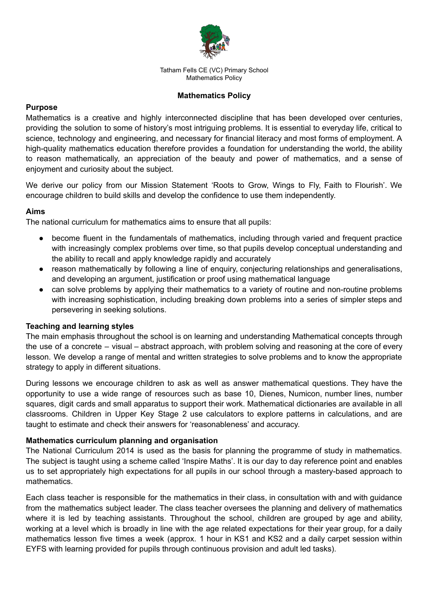

# **Mathematics Policy**

# **Purpose**

Mathematics is a creative and highly interconnected discipline that has been developed over centuries, providing the solution to some of history's most intriguing problems. It is essential to everyday life, critical to science, technology and engineering, and necessary for financial literacy and most forms of employment. A high-quality mathematics education therefore provides a foundation for understanding the world, the ability to reason mathematically, an appreciation of the beauty and power of mathematics, and a sense of enjoyment and curiosity about the subject.

We derive our policy from our Mission Statement 'Roots to Grow, Wings to Fly, Faith to Flourish'. We encourage children to build skills and develop the confidence to use them independently.

# **Aims**

The national curriculum for mathematics aims to ensure that all pupils:

- become fluent in the fundamentals of mathematics, including through varied and frequent practice with increasingly complex problems over time, so that pupils develop conceptual understanding and the ability to recall and apply knowledge rapidly and accurately
- reason mathematically by following a line of enquiry, conjecturing relationships and generalisations, and developing an argument, justification or proof using mathematical language
- can solve problems by applying their mathematics to a variety of routine and non-routine problems with increasing sophistication, including breaking down problems into a series of simpler steps and persevering in seeking solutions.

### **Teaching and learning styles**

The main emphasis throughout the school is on learning and understanding Mathematical concepts through the use of a concrete – visual – abstract approach, with problem solving and reasoning at the core of every lesson. We develop a range of mental and written strategies to solve problems and to know the appropriate strategy to apply in different situations.

During lessons we encourage children to ask as well as answer mathematical questions. They have the opportunity to use a wide range of resources such as base 10, Dienes, Numicon, number lines, number squares, digit cards and small apparatus to support their work. Mathematical dictionaries are available in all classrooms. Children in Upper Key Stage 2 use calculators to explore patterns in calculations, and are taught to estimate and check their answers for 'reasonableness' and accuracy.

### **Mathematics curriculum planning and organisation**

The National Curriculum 2014 is used as the basis for planning the programme of study in mathematics. The subject is taught using a scheme called 'Inspire Maths'. It is our day to day reference point and enables us to set appropriately high expectations for all pupils in our school through a mastery-based approach to mathematics.

Each class teacher is responsible for the mathematics in their class, in consultation with and with guidance from the mathematics subject leader. The class teacher oversees the planning and delivery of mathematics where it is led by teaching assistants. Throughout the school, children are grouped by age and ability, working at a level which is broadly in line with the age related expectations for their year group, for a daily mathematics lesson five times a week (approx. 1 hour in KS1 and KS2 and a daily carpet session within EYFS with learning provided for pupils through continuous provision and adult led tasks).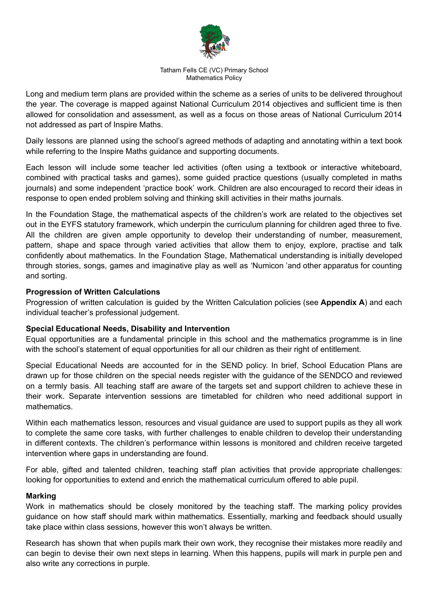

Long and medium term plans are provided within the scheme as a series of units to be delivered throughout the year. The coverage is mapped against National Curriculum 2014 objectives and sufficient time is then allowed for consolidation and assessment, as well as a focus on those areas of National Curriculum 2014 not addressed as part of Inspire Maths.

Daily lessons are planned using the school's agreed methods of adapting and annotating within a text book while referring to the Inspire Maths guidance and supporting documents.

Each lesson will include some teacher led activities (often using a textbook or interactive whiteboard, combined with practical tasks and games), some guided practice questions (usually completed in maths journals) and some independent 'practice book' work. Children are also encouraged to record their ideas in response to open ended problem solving and thinking skill activities in their maths journals.

In the Foundation Stage, the mathematical aspects of the children's work are related to the objectives set out in the EYFS statutory framework, which underpin the curriculum planning for children aged three to five. All the children are given ample opportunity to develop their understanding of number, measurement, pattern, shape and space through varied activities that allow them to enjoy, explore, practise and talk confidently about mathematics. In the Foundation Stage, Mathematical understanding is initially developed through stories, songs, games and imaginative play as well as 'Numicon 'and other apparatus for counting and sorting.

### **Progression of Written Calculations**

Progression of written calculation is guided by the Written Calculation policies (see **Appendix A**) and each individual teacher's professional judgement.

### **Special Educational Needs, Disability and Intervention**

Equal opportunities are a fundamental principle in this school and the mathematics programme is in line with the school's statement of equal opportunities for all our children as their right of entitlement.

Special Educational Needs are accounted for in the SEND policy. In brief, School Education Plans are drawn up for those children on the special needs register with the guidance of the SENDCO and reviewed on a termly basis. All teaching staff are aware of the targets set and support children to achieve these in their work. Separate intervention sessions are timetabled for children who need additional support in mathematics.

Within each mathematics lesson, resources and visual guidance are used to support pupils as they all work to complete the same core tasks, with further challenges to enable children to develop their understanding in different contexts. The children's performance within lessons is monitored and children receive targeted intervention where gaps in understanding are found.

For able, gifted and talented children, teaching staff plan activities that provide appropriate challenges: looking for opportunities to extend and enrich the mathematical curriculum offered to able pupil.

### **Marking**

Work in mathematics should be closely monitored by the teaching staff. The marking policy provides guidance on how staff should mark within mathematics. Essentially, marking and feedback should usually take place within class sessions, however this won't always be written.

Research has shown that when pupils mark their own work, they recognise their mistakes more readily and can begin to devise their own next steps in learning. When this happens, pupils will mark in purple pen and also write any corrections in purple.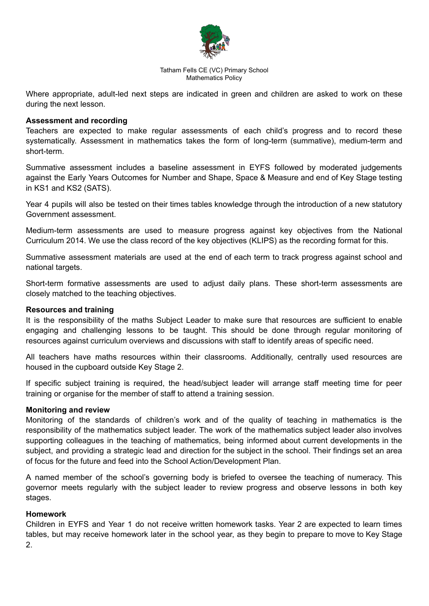

Where appropriate, adult-led next steps are indicated in green and children are asked to work on these during the next lesson.

### **Assessment and recording**

Teachers are expected to make regular assessments of each child's progress and to record these systematically. Assessment in mathematics takes the form of long-term (summative), medium-term and short-term.

Summative assessment includes a baseline assessment in EYFS followed by moderated judgements against the Early Years Outcomes for Number and Shape, Space & Measure and end of Key Stage testing in KS1 and KS2 (SATS).

Year 4 pupils will also be tested on their times tables knowledge through the introduction of a new statutory Government assessment.

Medium-term assessments are used to measure progress against key objectives from the National Curriculum 2014. We use the class record of the key objectives (KLIPS) as the recording format for this.

Summative assessment materials are used at the end of each term to track progress against school and national targets.

Short-term formative assessments are used to adjust daily plans. These short-term assessments are closely matched to the teaching objectives.

### **Resources and training**

It is the responsibility of the maths Subject Leader to make sure that resources are sufficient to enable engaging and challenging lessons to be taught. This should be done through regular monitoring of resources against curriculum overviews and discussions with staff to identify areas of specific need.

All teachers have maths resources within their classrooms. Additionally, centrally used resources are housed in the cupboard outside Key Stage 2.

If specific subject training is required, the head/subject leader will arrange staff meeting time for peer training or organise for the member of staff to attend a training session.

### **Monitoring and review**

Monitoring of the standards of children's work and of the quality of teaching in mathematics is the responsibility of the mathematics subject leader. The work of the mathematics subject leader also involves supporting colleagues in the teaching of mathematics, being informed about current developments in the subject, and providing a strategic lead and direction for the subject in the school. Their findings set an area of focus for the future and feed into the School Action/Development Plan.

A named member of the school's governing body is briefed to oversee the teaching of numeracy. This governor meets regularly with the subject leader to review progress and observe lessons in both key stages.

### **Homework**

Children in EYFS and Year 1 do not receive written homework tasks. Year 2 are expected to learn times tables, but may receive homework later in the school year, as they begin to prepare to move to Key Stage 2.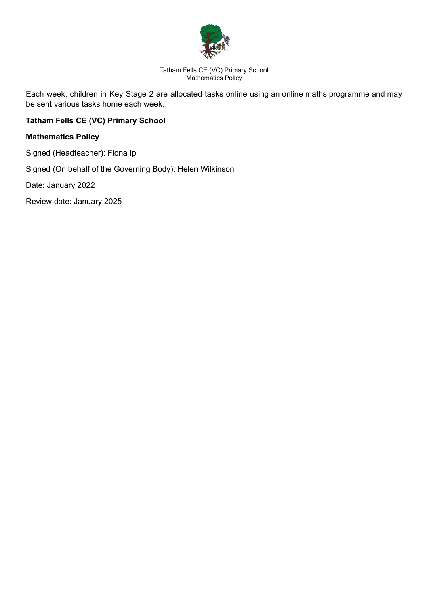

Each week, children in Key Stage 2 are allocated tasks online using an online maths programme and may be sent various tasks home each week.

# **Tatham Fells CE (VC) Primary School**

# **Mathematics Policy**

Signed (Headteacher): Fiona Ip

Signed (On behalf of the Governing Body): Helen Wilkinson

Date: January 2022

Review date: January 2025